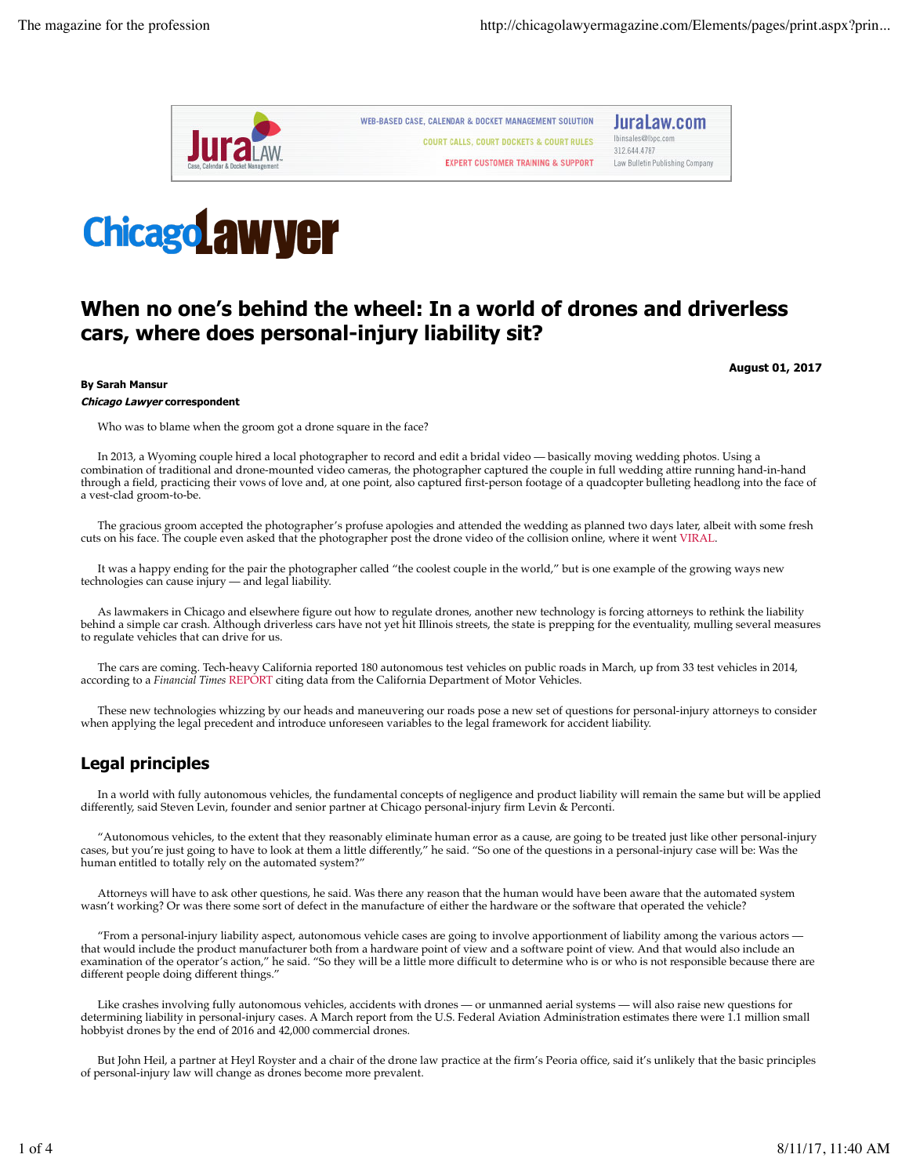



# **When no one's behind the wheel: In a world of drones and driverless cars, where does personal-injury liability sit?**

**August 01, 2017**

#### **By Sarah Mansur**

#### **Chicago Lawyer correspondent**

Who was to blame when the groom got a drone square in the face?

In 2013, a Wyoming couple hired a local photographer to record and edit a bridal video — basically moving wedding photos. Using a combination of traditional and drone-mounted video cameras, the photographer captured the couple in full wedding attire running hand-in-hand through a field, practicing their vows of love and, at one point, also captured first-person footage of a quadcopter bulleting headlong into the face of a vest-clad groom-to-be.

The gracious groom accepted the photographer's profuse apologies and attended the wedding as planned two days later, albeit with some fresh cuts on his face. The couple even asked that the photographer post the drone video of the collision online, where it went VIRAL.

It was a happy ending for the pair the photographer called "the coolest couple in the world," but is one example of the growing ways new technologies can cause injury — and legal liability.

As lawmakers in Chicago and elsewhere figure out how to regulate drones, another new technology is forcing attorneys to rethink the liability behind a simple car crash. Although driverless cars have not yet hit Illinois streets, the state is prepping for the eventuality, mulling several measures to regulate vehicles that can drive for us.

The cars are coming. Tech-heavy California reported 180 autonomous test vehicles on public roads in March, up from 33 test vehicles in 2014, according to a *Financial Times* REPORT citing data from the California Department of Motor Vehicles.

These new technologies whizzing by our heads and maneuvering our roads pose a new set of questions for personal-injury attorneys to consider when applying the legal precedent and introduce unforeseen variables to the legal framework for accident liability.

# **Legal principles**

In a world with fully autonomous vehicles, the fundamental concepts of negligence and product liability will remain the same but will be applied differently, said Steven Levin, founder and senior partner at Chicago personal-injury firm Levin & Perconti.

"Autonomous vehicles, to the extent that they reasonably eliminate human error as a cause, are going to be treated just like other personal-injury cases, but you're just going to have to look at them a little differently," he said. "So one of the questions in a personal-injury case will be: Was the human entitled to totally rely on the automated system?"

Attorneys will have to ask other questions, he said. Was there any reason that the human would have been aware that the automated system wasn't working? Or was there some sort of defect in the manufacture of either the hardware or the software that operated the vehicle?

"From a personal-injury liability aspect, autonomous vehicle cases are going to involve apportionment of liability among the various actors that would include the product manufacturer both from a hardware point of view and a software point of view. And that would also include an examination of the operator's action," he said. "So they will be a little more difficult to determine who is or who is not responsible because there are different people doing different things."

Like crashes involving fully autonomous vehicles, accidents with drones — or unmanned aerial systems — will also raise new questions for determining liability in personal-injury cases. A March report from the U.S. Federal Aviation Administration estimates there were 1.1 million small hobbyist drones by the end of 2016 and 42,000 commercial drones.

But John Heil, a partner at Heyl Royster and a chair of the drone law practice at the firm's Peoria office, said it's unlikely that the basic principles of personal-injury law will change as drones become more prevalent.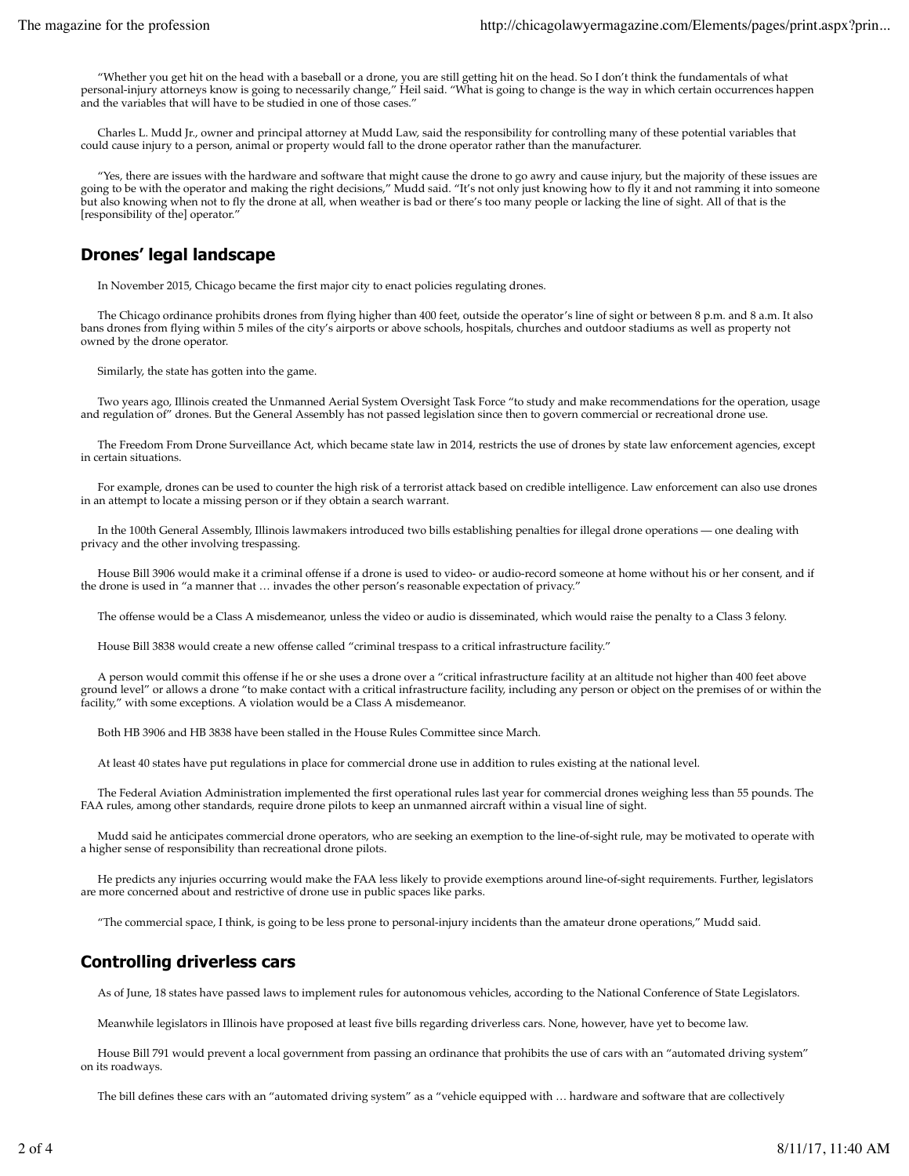"Whether you get hit on the head with a baseball or a drone, you are still getting hit on the head. So I don't think the fundamentals of what personal-injury attorneys know is going to necessarily change," Heil said. "What is going to change is the way in which certain occurrences happen and the variables that will have to be studied in one of those cases."

Charles L. Mudd Jr., owner and principal attorney at Mudd Law, said the responsibility for controlling many of these potential variables that could cause injury to a person, animal or property would fall to the drone operator rather than the manufacturer.

"Yes, there are issues with the hardware and software that might cause the drone to go awry and cause injury, but the majority of these issues are going to be with the operator and making the right decisions," Mudd said. "It's not only just knowing how to fly it and not ramming it into someone but also knowing when not to fly the drone at all, when weather is bad or there's too many people or lacking the line of sight. All of that is the [responsibility of the] operator."

## **Drones' legal landscape**

In November 2015, Chicago became the first major city to enact policies regulating drones.

The Chicago ordinance prohibits drones from flying higher than 400 feet, outside the operator's line of sight or between 8 p.m. and 8 a.m. It also bans drones from flying within 5 miles of the city's airports or above schools, hospitals, churches and outdoor stadiums as well as property not owned by the drone operator.

Similarly, the state has gotten into the game.

Two years ago, Illinois created the Unmanned Aerial System Oversight Task Force "to study and make recommendations for the operation, usage and regulation of" drones. But the General Assembly has not passed legislation since then to govern commercial or recreational drone use.

The Freedom From Drone Surveillance Act, which became state law in 2014, restricts the use of drones by state law enforcement agencies, except in certain situations.

For example, drones can be used to counter the high risk of a terrorist attack based on credible intelligence. Law enforcement can also use drones in an attempt to locate a missing person or if they obtain a search warrant.

In the 100th General Assembly, Illinois lawmakers introduced two bills establishing penalties for illegal drone operations — one dealing with privacy and the other involving trespassing.

House Bill 3906 would make it a criminal offense if a drone is used to video- or audio-record someone at home without his or her consent, and if the drone is used in "a manner that … invades the other person's reasonable expectation of privacy."

The offense would be a Class A misdemeanor, unless the video or audio is disseminated, which would raise the penalty to a Class 3 felony.

House Bill 3838 would create a new offense called "criminal trespass to a critical infrastructure facility."

A person would commit this offense if he or she uses a drone over a "critical infrastructure facility at an altitude not higher than 400 feet above ground level" or allows a drone "to make contact with a critical infrastructure facility, including any person or object on the premises of or within the facility," with some exceptions. A violation would be a Class A misdemeanor.

Both HB 3906 and HB 3838 have been stalled in the House Rules Committee since March.

At least 40 states have put regulations in place for commercial drone use in addition to rules existing at the national level.

The Federal Aviation Administration implemented the first operational rules last year for commercial drones weighing less than 55 pounds. The FAA rules, among other standards, require drone pilots to keep an unmanned aircraft within a visual line of sight.

Mudd said he anticipates commercial drone operators, who are seeking an exemption to the line-of-sight rule, may be motivated to operate with a higher sense of responsibility than recreational drone pilots.

He predicts any injuries occurring would make the FAA less likely to provide exemptions around line-of-sight requirements. Further, legislators are more concerned about and restrictive of drone use in public spaces like parks.

"The commercial space, I think, is going to be less prone to personal-injury incidents than the amateur drone operations," Mudd said.

## **Controlling driverless cars**

As of June, 18 states have passed laws to implement rules for autonomous vehicles, according to the National Conference of State Legislators.

Meanwhile legislators in Illinois have proposed at least five bills regarding driverless cars. None, however, have yet to become law.

House Bill 791 would prevent a local government from passing an ordinance that prohibits the use of cars with an "automated driving system" on its roadways.

The bill defines these cars with an "automated driving system" as a "vehicle equipped with … hardware and software that are collectively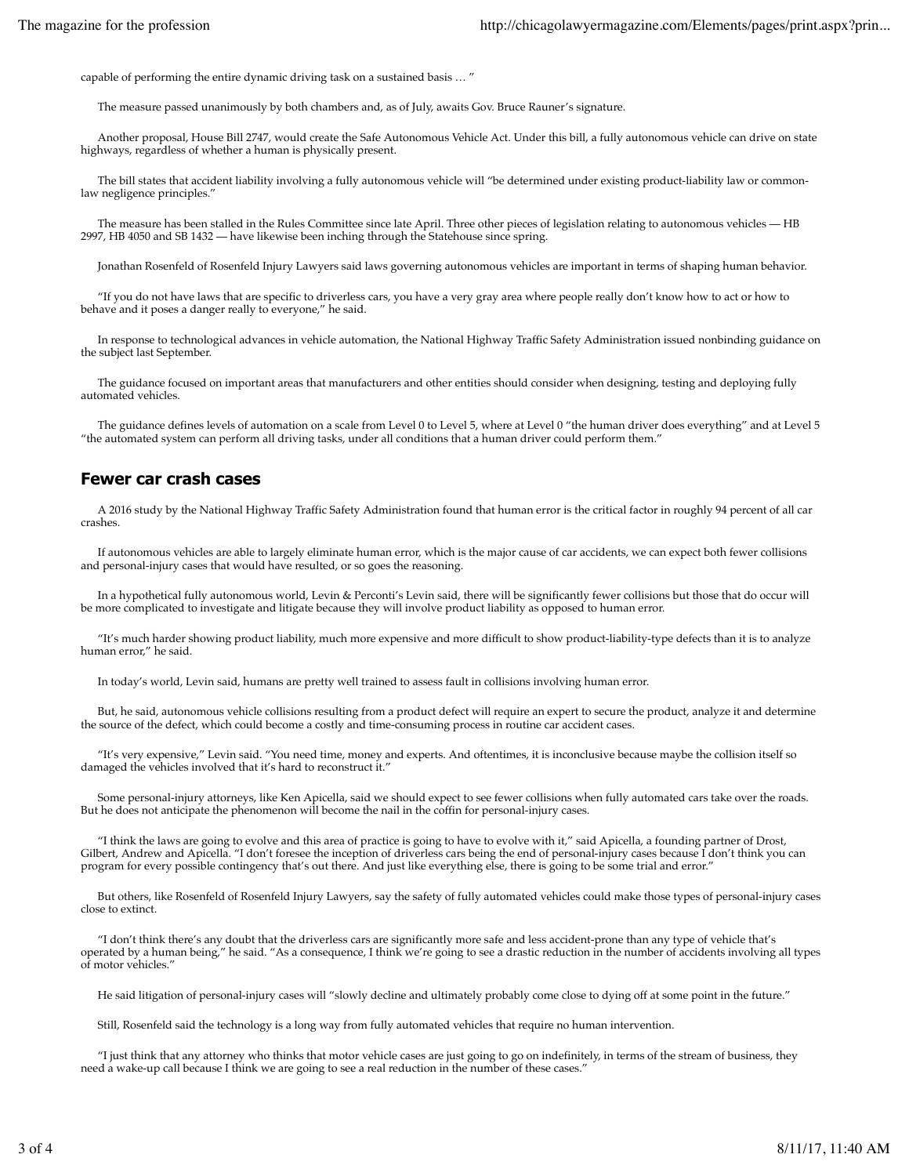capable of performing the entire dynamic driving task on a sustained basis … "

The measure passed unanimously by both chambers and, as of July, awaits Gov. Bruce Rauner's signature.

Another proposal, House Bill 2747, would create the Safe Autonomous Vehicle Act. Under this bill, a fully autonomous vehicle can drive on state highways, regardless of whether a human is physically present.

The bill states that accident liability involving a fully autonomous vehicle will "be determined under existing product-liability law or commonlaw negligence principles."

The measure has been stalled in the Rules Committee since late April. Three other pieces of legislation relating to autonomous vehicles — HB 2997, HB 4050 and SB 1432 — have likewise been inching through the Statehouse since spring.

Jonathan Rosenfeld of Rosenfeld Injury Lawyers said laws governing autonomous vehicles are important in terms of shaping human behavior.

"If you do not have laws that are specific to driverless cars, you have a very gray area where people really don't know how to act or how to behave and it poses a danger really to everyone," he said.

In response to technological advances in vehicle automation, the National Highway Traffic Safety Administration issued nonbinding guidance on the subject last September.

The guidance focused on important areas that manufacturers and other entities should consider when designing, testing and deploying fully automated vehicles.

The guidance defines levels of automation on a scale from Level 0 to Level 5, where at Level 0 "the human driver does everything" and at Level 5 "the automated system can perform all driving tasks, under all conditions that a human driver could perform them."

#### **Fewer car crash cases**

A 2016 study by the National Highway Traffic Safety Administration found that human error is the critical factor in roughly 94 percent of all car crashes.

If autonomous vehicles are able to largely eliminate human error, which is the major cause of car accidents, we can expect both fewer collisions and personal-injury cases that would have resulted, or so goes the reasoning.

In a hypothetical fully autonomous world, Levin & Perconti's Levin said, there will be significantly fewer collisions but those that do occur will be more complicated to investigate and litigate because they will involve product liability as opposed to human error.

"It's much harder showing product liability, much more expensive and more difficult to show product-liability-type defects than it is to analyze human error," he said.

In today's world, Levin said, humans are pretty well trained to assess fault in collisions involving human error.

But, he said, autonomous vehicle collisions resulting from a product defect will require an expert to secure the product, analyze it and determine the source of the defect, which could become a costly and time-consuming process in routine car accident cases.

"It's very expensive," Levin said. "You need time, money and experts. And oftentimes, it is inconclusive because maybe the collision itself so damaged the vehicles involved that it's hard to reconstruct it."

Some personal-injury attorneys, like Ken Apicella, said we should expect to see fewer collisions when fully automated cars take over the roads. But he does not anticipate the phenomenon will become the nail in the coffin for personal-injury cases.

"I think the laws are going to evolve and this area of practice is going to have to evolve with it," said Apicella, a founding partner of Drost, Gilbert, Andrew and Apicella. "I don't foresee the inception of driverless cars being the end of personal-injury cases because I don't think you can program for every possible contingency that's out there. And just like everything else, there is going to be some trial and error."

But others, like Rosenfeld of Rosenfeld Injury Lawyers, say the safety of fully automated vehicles could make those types of personal-injury cases close to extinct.

"I don't think there's any doubt that the driverless cars are significantly more safe and less accident-prone than any type of vehicle that's operated by a human being," he said. "As a consequence, I think we're going to see a drastic reduction in the number of accidents involving all types of motor vehicles."

He said litigation of personal-injury cases will "slowly decline and ultimately probably come close to dying off at some point in the future."

Still, Rosenfeld said the technology is a long way from fully automated vehicles that require no human intervention.

"I just think that any attorney who thinks that motor vehicle cases are just going to go on indefinitely, in terms of the stream of business, they need a wake-up call because I think we are going to see a real reduction in the number of these cases."